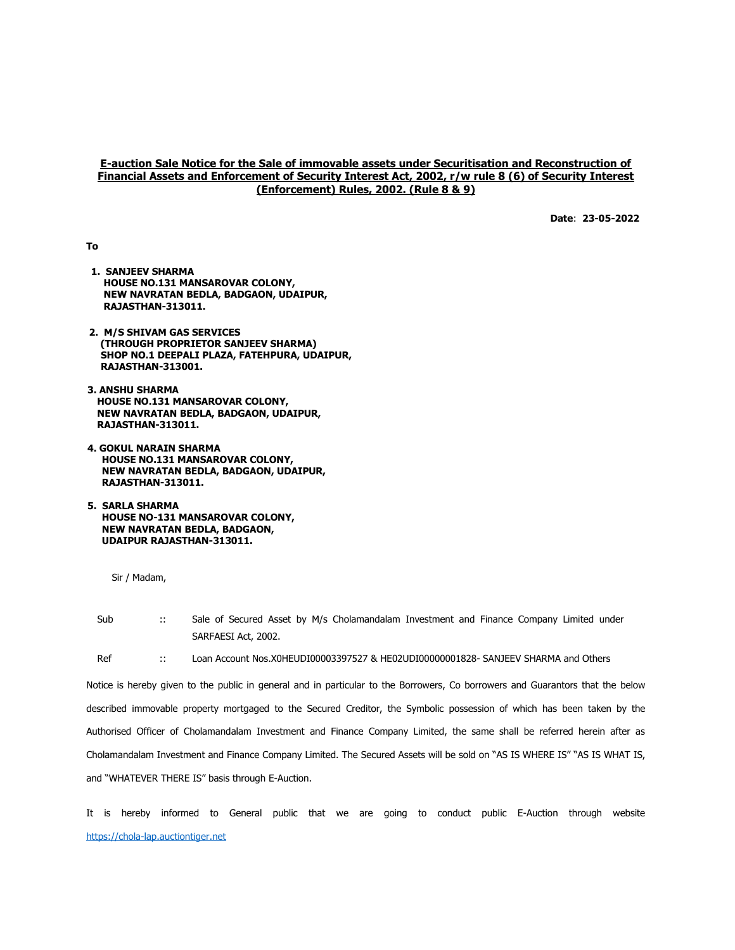## E-auction Sale Notice for the Sale of immovable assets under Securitisation and Reconstruction of Financial Assets and Enforcement of Security Interest Act, 2002, r/w rule 8 (6) of Security Interest (Enforcement) Rules, 2002. (Rule 8 & 9)

Date: 23-05-2022

To

- 1. SANJEEV SHARMA HOUSE NO.131 MANSAROVAR COLONY, NEW NAVRATAN BEDLA, BADGAON, UDAIPUR, RAJASTHAN-313011.
- 2. M/S SHIVAM GAS SERVICES (THROUGH PROPRIETOR SANJEEV SHARMA) SHOP NO.1 DEEPALI PLAZA, FATEHPURA, UDAIPUR, RAJASTHAN-313001.
- 3. ANSHU SHARMA HOUSE NO.131 MANSAROVAR COLONY, NEW NAVRATAN BEDLA, BADGAON, UDAIPUR, RAJASTHAN-313011.
- 4. GOKUL NARAIN SHARMA HOUSE NO.131 MANSAROVAR COLONY, NEW NAVRATAN BEDLA, BADGAON, UDAIPUR, RAJASTHAN-313011.
- 5. SARLA SHARMA HOUSE NO-131 MANSAROVAR COLONY, NEW NAVRATAN BEDLA, BADGAON, UDAIPUR RAJASTHAN-313011.

Sub :: Sale of Secured Asset by M/s Cholamandalam Investment and Finance Company Limited under SARFAESI Act, 2002.

Ref :: Loan Account Nos.X0HEUDI00003397527 & HE02UDI00000001828- SANJEEV SHARMA and Others

Notice is hereby given to the public in general and in particular to the Borrowers, Co borrowers and Guarantors that the below described immovable property mortgaged to the Secured Creditor, the Symbolic possession of which has been taken by the Authorised Officer of Cholamandalam Investment and Finance Company Limited, the same shall be referred herein after as Cholamandalam Investment and Finance Company Limited. The Secured Assets will be sold on "AS IS WHERE IS" "AS IS WHAT IS, and "WHATEVER THERE IS" basis through E-Auction.

It is hereby informed to General public that we are going to conduct public E-Auction through website https://chola-lap.auctiontiger.net

Sir / Madam,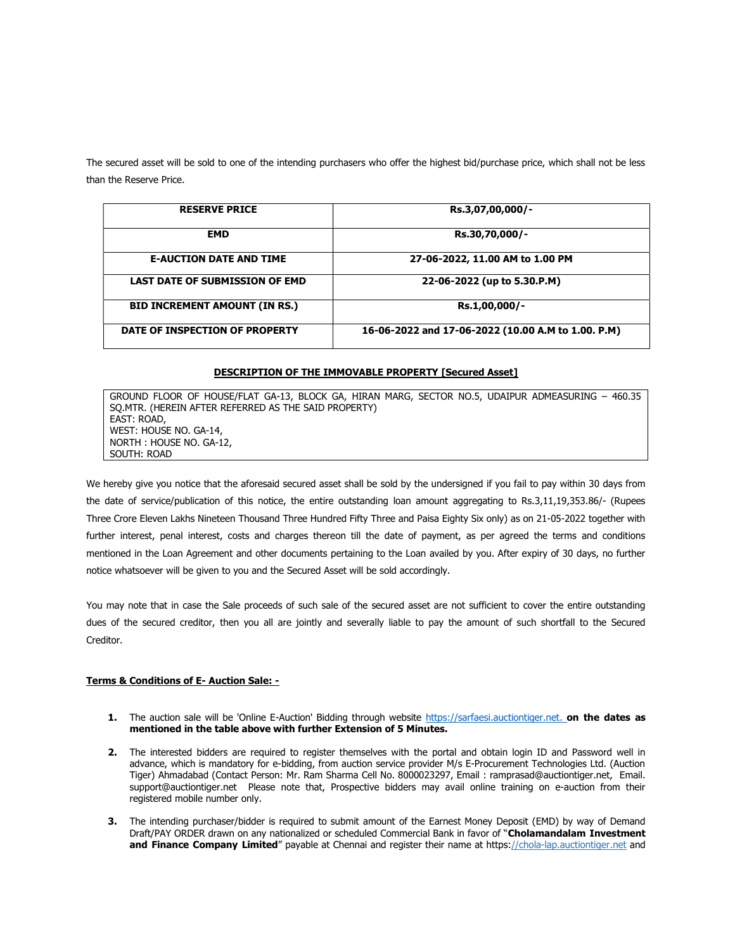The secured asset will be sold to one of the intending purchasers who offer the highest bid/purchase price, which shall not be less than the Reserve Price.

| <b>RESERVE PRICE</b>                  | Rs.3,07,00,000/-                                   |
|---------------------------------------|----------------------------------------------------|
| <b>EMD</b>                            | Rs.30,70,000/-                                     |
| <b>E-AUCTION DATE AND TIME</b>        | 27-06-2022, 11.00 AM to 1.00 PM                    |
| <b>LAST DATE OF SUBMISSION OF EMD</b> | 22-06-2022 (up to 5.30.P.M)                        |
| <b>BID INCREMENT AMOUNT (IN RS.)</b>  | Rs.1,00,000/-                                      |
| DATE OF INSPECTION OF PROPERTY        | 16-06-2022 and 17-06-2022 (10.00 A.M to 1.00. P.M) |

## DESCRIPTION OF THE IMMOVABLE PROPERTY [Secured Asset]

GROUND FLOOR OF HOUSE/FLAT GA-13, BLOCK GA, HIRAN MARG, SECTOR NO.5, UDAIPUR ADMEASURING – 460.35 SQ.MTR. (HEREIN AFTER REFERRED AS THE SAID PROPERTY) EAST: ROAD, WEST: HOUSE NO. GA-14, NORTH : HOUSE NO. GA-12, SOUTH: ROAD

We hereby give you notice that the aforesaid secured asset shall be sold by the undersigned if you fail to pay within 30 days from the date of service/publication of this notice, the entire outstanding loan amount aggregating to Rs.3,11,19,353.86/- (Rupees Three Crore Eleven Lakhs Nineteen Thousand Three Hundred Fifty Three and Paisa Eighty Six only) as on 21-05-2022 together with further interest, penal interest, costs and charges thereon till the date of payment, as per agreed the terms and conditions mentioned in the Loan Agreement and other documents pertaining to the Loan availed by you. After expiry of 30 days, no further notice whatsoever will be given to you and the Secured Asset will be sold accordingly.

You may note that in case the Sale proceeds of such sale of the secured asset are not sufficient to cover the entire outstanding dues of the secured creditor, then you all are jointly and severally liable to pay the amount of such shortfall to the Secured Creditor.

## Terms & Conditions of E- Auction Sale: -

- 1. The auction sale will be 'Online E-Auction' Bidding through website https://sarfaesi.auctiontiger.net. on the dates as mentioned in the table above with further Extension of 5 Minutes.
- 2. The interested bidders are required to register themselves with the portal and obtain login ID and Password well in advance, which is mandatory for e-bidding, from auction service provider M/s E-Procurement Technologies Ltd. (Auction Tiger) Ahmadabad (Contact Person: Mr. Ram Sharma Cell No. 8000023297, Email : ramprasad@auctiontiger.net, Email. support@auctiontiger.net Please note that, Prospective bidders may avail online training on e-auction from their registered mobile number only.
- 3. The intending purchaser/bidder is required to submit amount of the Earnest Money Deposit (EMD) by way of Demand Draft/PAY ORDER drawn on any nationalized or scheduled Commercial Bank in favor of "Cholamandalam Investment and Finance Company Limited" payable at Chennai and register their name at https://chola-lap.auctiontiger.net and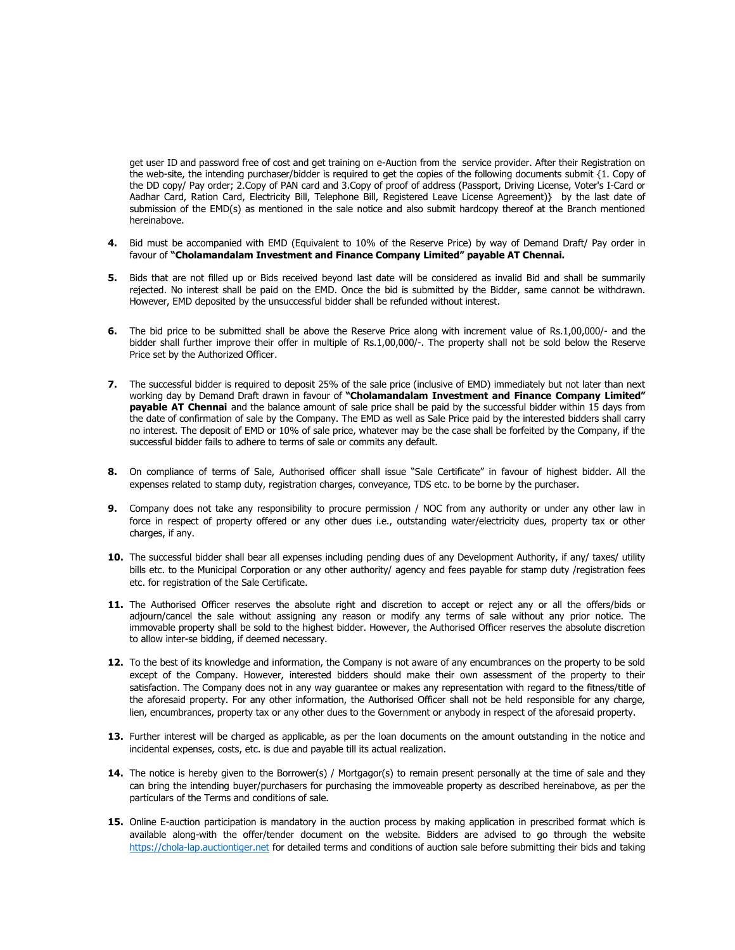get user ID and password free of cost and get training on e-Auction from the service provider. After their Registration on the web-site, the intending purchaser/bidder is required to get the copies of the following documents submit {1. Copy of the DD copy/ Pay order; 2.Copy of PAN card and 3.Copy of proof of address (Passport, Driving License, Voter's I-Card or Aadhar Card, Ration Card, Electricity Bill, Telephone Bill, Registered Leave License Agreement)} by the last date of submission of the EMD(s) as mentioned in the sale notice and also submit hardcopy thereof at the Branch mentioned hereinabove.

- 4. Bid must be accompanied with EMD (Equivalent to 10% of the Reserve Price) by way of Demand Draft/ Pay order in favour of "Cholamandalam Investment and Finance Company Limited" payable AT Chennai.
- 5. Bids that are not filled up or Bids received beyond last date will be considered as invalid Bid and shall be summarily rejected. No interest shall be paid on the EMD. Once the bid is submitted by the Bidder, same cannot be withdrawn. However, EMD deposited by the unsuccessful bidder shall be refunded without interest.
- 6. The bid price to be submitted shall be above the Reserve Price along with increment value of Rs.1,00,000/- and the bidder shall further improve their offer in multiple of Rs.1,00,000/-. The property shall not be sold below the Reserve Price set by the Authorized Officer.
- 7. The successful bidder is required to deposit 25% of the sale price (inclusive of EMD) immediately but not later than next working day by Demand Draft drawn in favour of "Cholamandalam Investment and Finance Company Limited" payable AT Chennai and the balance amount of sale price shall be paid by the successful bidder within 15 days from the date of confirmation of sale by the Company. The EMD as well as Sale Price paid by the interested bidders shall carry no interest. The deposit of EMD or 10% of sale price, whatever may be the case shall be forfeited by the Company, if the successful bidder fails to adhere to terms of sale or commits any default.
- 8. On compliance of terms of Sale, Authorised officer shall issue "Sale Certificate" in favour of highest bidder. All the expenses related to stamp duty, registration charges, conveyance, TDS etc. to be borne by the purchaser.
- 9. Company does not take any responsibility to procure permission / NOC from any authority or under any other law in force in respect of property offered or any other dues i.e., outstanding water/electricity dues, property tax or other charges, if any.
- 10. The successful bidder shall bear all expenses including pending dues of any Development Authority, if any/ taxes/ utility bills etc. to the Municipal Corporation or any other authority/ agency and fees payable for stamp duty /registration fees etc. for registration of the Sale Certificate.
- 11. The Authorised Officer reserves the absolute right and discretion to accept or reject any or all the offers/bids or adjourn/cancel the sale without assigning any reason or modify any terms of sale without any prior notice. The immovable property shall be sold to the highest bidder. However, the Authorised Officer reserves the absolute discretion to allow inter-se bidding, if deemed necessary.
- 12. To the best of its knowledge and information, the Company is not aware of any encumbrances on the property to be sold except of the Company. However, interested bidders should make their own assessment of the property to their satisfaction. The Company does not in any way guarantee or makes any representation with regard to the fitness/title of the aforesaid property. For any other information, the Authorised Officer shall not be held responsible for any charge, lien, encumbrances, property tax or any other dues to the Government or anybody in respect of the aforesaid property.
- 13. Further interest will be charged as applicable, as per the loan documents on the amount outstanding in the notice and incidental expenses, costs, etc. is due and payable till its actual realization.
- 14. The notice is hereby given to the Borrower(s) / Mortgagor(s) to remain present personally at the time of sale and they can bring the intending buyer/purchasers for purchasing the immoveable property as described hereinabove, as per the particulars of the Terms and conditions of sale.
- 15. Online E-auction participation is mandatory in the auction process by making application in prescribed format which is available along-with the offer/tender document on the website. Bidders are advised to go through the website https://chola-lap.auctiontiger.net for detailed terms and conditions of auction sale before submitting their bids and taking